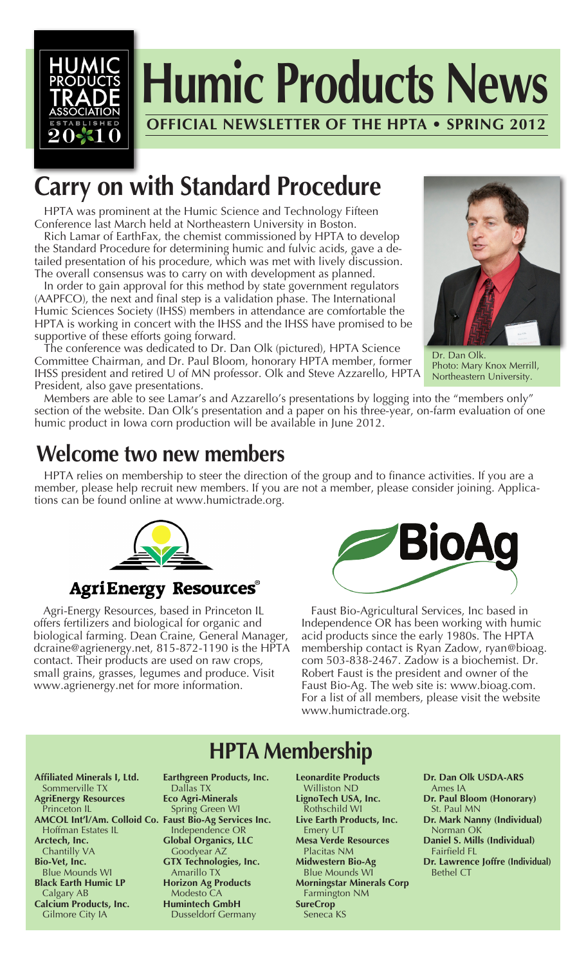

# **Carry on with Standard Procedure**

 HPTA was prominent at the Humic Science and Technology Fifteen Conference last March held at Northeastern University in Boston.

 Rich Lamar of EarthFax, the chemist commissioned by HPTA to develop the Standard Procedure for determining humic and fulvic acids, gave a detailed presentation of his procedure, which was met with lively discussion. The overall consensus was to carry on with development as planned.

 In order to gain approval for this method by state government regulators (AAPFCO), the next and final step is a validation phase. The International Humic Sciences Society (IHSS) members in attendance are comfortable the HPTA is working in concert with the IHSS and the IHSS have promised to be supportive of these efforts going forward.

 The conference was dedicated to Dr. Dan Olk (pictured), HPTA Science Committee Chairman, and Dr. Paul Bloom, honorary HPTA member, former IHSS president and retired U of MN professor. Olk and Steve Azzarello, HPTA President, also gave presentations.



Dr. Dan Olk. Photo: Mary Knox Merrill, Northeastern University.

 Members are able to see Lamar's and Azzarello's presentations by logging into the "members only" section of the website. Dan Olk's presentation and a paper on his three-year, on-farm evaluation of one humic product in Iowa corn production will be available in June 2012.

### **Welcome two new members**

 HPTA relies on membership to steer the direction of the group and to finance activities. If you are a member, please help recruit new members. If you are not a member, please consider joining. Applications can be found online at www.humictrade.org.



#### **AgriEnergy Resources®**

 Agri-Energy Resources, based in Princeton IL offers fertilizers and biological for organic and biological farming. Dean Craine, General Manager, dcraine@agrienergy.net, 815-872-1190 is the HPTA contact. Their products are used on raw crops, small grains, grasses, legumes and produce. Visit www.agrienergy.net for more information.



 Faust Bio-Agricultural Services, Inc based in Independence OR has been working with humic acid products since the early 1980s. The HPTA membership contact is Ryan Zadow, ryan@bioag. com 503-838-2467. Zadow is a biochemist. Dr. Robert Faust is the president and owner of the Faust Bio-Ag. The web site is: www.bioag.com. For a list of all members, please visit the website www.humictrade.org.

## **HPTA Membership**

**Affiliated Minerals I, Ltd.** Sommerville TX **AgriEnergy Resources** Princeton IL **AMCOL Int'l/Am. Colloid Co. Faust Bio-Ag Services Inc.** Hoffman Estates IL **Arctech, Inc.** Chantilly VA **Bio-Vet, Inc.** Blue Mounds WI **Black Earth Humic LP** Calgary AB **Calcium Products, Inc.** Gilmore City IA

**Earthgreen Products, Inc.** Dallas TX **Eco Agri-Minerals** Spring Green WI Independence OR **Global Organics, LLC** Goodyear AZ **GTX Technologies, Inc.** Amarillo TX **Horizon Ag Products** Modesto CA **Humintech GmbH** Dusseldorf Germany

**Leonardite Products** Williston ND **LignoTech USA, Inc.** Rothschild WI **Live Earth Products, Inc.** Emery UT **Mesa Verde Resources** Placitas NM **Midwestern Bio-Ag** Blue Mounds WI **Morningstar Minerals Corp** Farmington NM **SureCrop** Seneca KS

**Dr. Dan Olk USDA-ARS** Ames IA **Dr. Paul Bloom (Honorary)** St. Paul MN **Dr. Mark Nanny (Individual)** Norman OK **Daniel S. Mills (Individual)** Fairfield FL **Dr. Lawrence Joffre (Individual)** Bethel CT